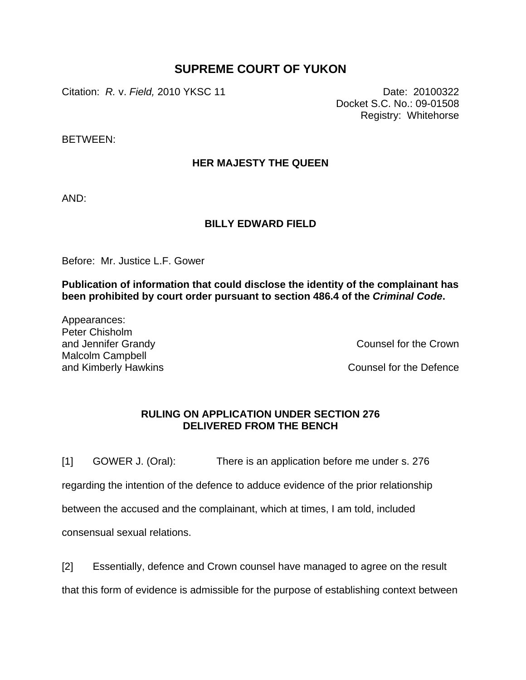## **SUPREME COURT OF YUKON**

Citation: *R.* v. *Field,* 2010 YKSC 11 Date: 20100322

Docket S.C. No.: 09-01508 Registry: Whitehorse

BETWEEN:

## **HER MAJESTY THE QUEEN**

AND:

## **BILLY EDWARD FIELD**

Before: Mr. Justice L.F. Gower

**Publication of information that could disclose the identity of the complainant has been prohibited by court order pursuant to section 486.4 of the** *Criminal Code***.** 

Appearances: Peter Chisholm and Jennifer Grandy Malcolm Campbell and Kimberly Hawkins

Counsel for the Crown

Counsel for the Defence

## **RULING ON APPLICATION UNDER SECTION 276 DELIVERED FROM THE BENCH**

[1] GOWER J. (Oral): There is an application before me under s. 276

regarding the intention of the defence to adduce evidence of the prior relationship

between the accused and the complainant, which at times, I am told, included

consensual sexual relations.

[2] Essentially, defence and Crown counsel have managed to agree on the result

that this form of evidence is admissible for the purpose of establishing context between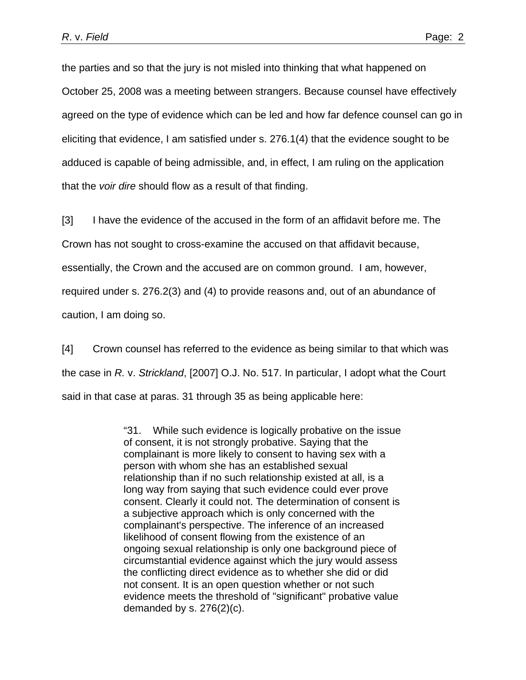the parties and so that the jury is not misled into thinking that what happened on October 25, 2008 was a meeting between strangers. Because counsel have effectively agreed on the type of evidence which can be led and how far defence counsel can go in eliciting that evidence, I am satisfied under s. 276.1(4) that the evidence sought to be adduced is capable of being admissible, and, in effect, I am ruling on the application that the *voir dire* should flow as a result of that finding.

[3] I have the evidence of the accused in the form of an affidavit before me. The Crown has not sought to cross-examine the accused on that affidavit because, essentially, the Crown and the accused are on common ground. I am, however, required under s. 276.2(3) and (4) to provide reasons and, out of an abundance of caution, I am doing so.

[4] Crown counsel has referred to the evidence as being similar to that which was the case in *R.* v. *Strickland*, [2007] O.J. No. 517. In particular, I adopt what the Court said in that case at paras. 31 through 35 as being applicable here:

> "31. While such evidence is logically probative on the issue of consent, it is not strongly probative. Saying that the complainant is more likely to consent to having sex with a person with whom she has an established sexual relationship than if no such relationship existed at all, is a long way from saying that such evidence could ever prove consent. Clearly it could not. The determination of consent is a subjective approach which is only concerned with the complainant's perspective. The inference of an increased likelihood of consent flowing from the existence of an ongoing sexual relationship is only one background piece of circumstantial evidence against which the jury would assess the conflicting direct evidence as to whether she did or did not consent. It is an open question whether or not such evidence meets the threshold of "significant" probative value demanded by s.  $276(2)(c)$ .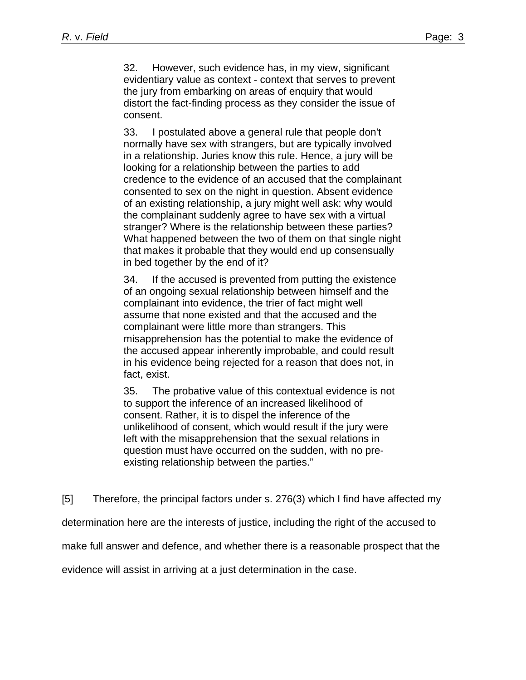32. However, such evidence has, in my view, significant evidentiary value as context - context that serves to prevent the jury from embarking on areas of enquiry that would distort the fact-finding process as they consider the issue of consent.

33. I postulated above a general rule that people don't normally have sex with strangers, but are typically involved in a relationship. Juries know this rule. Hence, a jury will be looking for a relationship between the parties to add credence to the evidence of an accused that the complainant consented to sex on the night in question. Absent evidence of an existing relationship, a jury might well ask: why would the complainant suddenly agree to have sex with a virtual stranger? Where is the relationship between these parties? What happened between the two of them on that single night that makes it probable that they would end up consensually in bed together by the end of it?

34. If the accused is prevented from putting the existence of an ongoing sexual relationship between himself and the complainant into evidence, the trier of fact might well assume that none existed and that the accused and the complainant were little more than strangers. This misapprehension has the potential to make the evidence of the accused appear inherently improbable, and could result in his evidence being rejected for a reason that does not, in fact, exist.

35. The probative value of this contextual evidence is not to support the inference of an increased likelihood of consent. Rather, it is to dispel the inference of the unlikelihood of consent, which would result if the jury were left with the misapprehension that the sexual relations in question must have occurred on the sudden, with no preexisting relationship between the parties."

[5] Therefore, the principal factors under s. 276(3) which I find have affected my

determination here are the interests of justice, including the right of the accused to

make full answer and defence, and whether there is a reasonable prospect that the

evidence will assist in arriving at a just determination in the case.